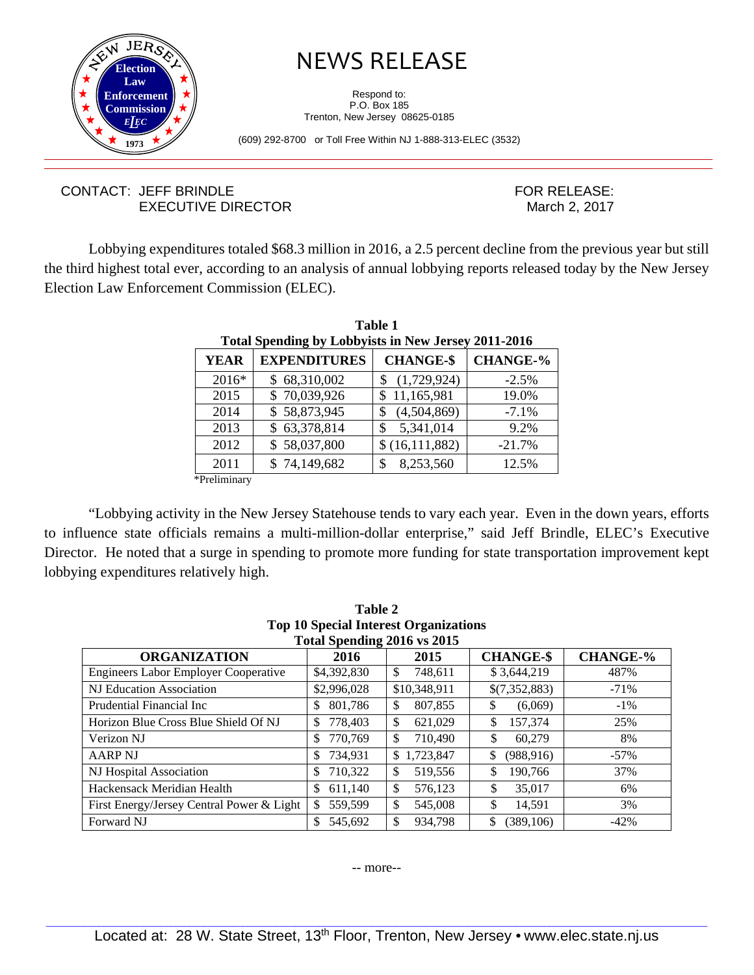

## NEWS RELEASE

Respond to: P.O. Box 185 Trenton, New Jersey 08625-0185

(609) 292-8700 or Toll Free Within NJ 1-888-313-ELEC (3532)

## CONTACT: JEFF BRINDLE EXECUTIVE DIRECTOR

FOR RELEASE: March 2, 2017

Lobbying expenditures totaled \$68.3 million in 2016, a 2.5 percent decline from the previous year but still the third highest total ever, according to an analysis of annual lobbying reports released today by the New Jersey Election Law Enforcement Commission (ELEC).

**Table 1** 

| Total Spending by Lobbyists in New Jersey 2011-2016 |                     |                   |                 |  |
|-----------------------------------------------------|---------------------|-------------------|-----------------|--|
| <b>YEAR</b>                                         | <b>EXPENDITURES</b> | <b>CHANGE-\$</b>  | <b>CHANGE-%</b> |  |
| 2016*                                               | \$68,310,002        | (1,729,924)<br>\$ | $-2.5%$         |  |
| 2015                                                | \$70,039,926        | 11,165,981<br>\$  | 19.0%           |  |
| 2014                                                | \$58,873,945        | (4,504,869)<br>\$ | $-7.1%$         |  |
| 2013                                                | \$63,378,814        | 5,341,014<br>\$   | 9.2%            |  |
| 2012                                                | \$58,037,800        | \$(16,111,882)    | $-21.7%$        |  |
| 2011                                                | \$74,149,682        | 8,253,560<br>\$   | 12.5%           |  |
| *Preliminarv                                        |                     |                   |                 |  |

"Lobbying activity in the New Jersey Statehouse tends to vary each year. Even in the down years, efforts to influence state officials remains a multi-million-dollar enterprise," said Jeff Brindle, ELEC's Executive Director. He noted that a surge in spending to promote more funding for state transportation improvement kept lobbying expenditures relatively high.

| тате 2                                       |                                                     |                             |                  |         |  |  |
|----------------------------------------------|-----------------------------------------------------|-----------------------------|------------------|---------|--|--|
| <b>Top 10 Special Interest Organizations</b> |                                                     |                             |                  |         |  |  |
|                                              |                                                     | Total Spending 2016 vs 2015 |                  |         |  |  |
| <b>ORGANIZATION</b>                          | <b>CHANGE-\$</b><br><b>CHANGE-%</b><br>2015<br>2016 |                             |                  |         |  |  |
| <b>Engineers Labor Employer Cooperative</b>  | \$4,392,830                                         | \$<br>748,611               | \$3,644,219      | 487%    |  |  |
| NJ Education Association                     | \$2,996,028                                         | \$10,348,911                | \$(7,352,883)    | $-71%$  |  |  |
| Prudential Financial Inc                     | 801.786<br>S                                        | \$<br>807,855               | S<br>(6,069)     | $-1\%$  |  |  |
| Horizon Blue Cross Blue Shield Of NJ         | 778,403<br>S.                                       | \$<br>621,029               | \$<br>157,374    | 25%     |  |  |
| Verizon NJ                                   | 770,769<br>S                                        | \$.<br>710,490              | \$<br>60.279     | 8%      |  |  |
| <b>AARP NJ</b>                               | 734.931<br>\$                                       | \$<br>1.723.847             | \$<br>(988, 916) | $-57\%$ |  |  |
| NJ Hospital Association                      | 710.322<br>S                                        | \$<br>519,556               | \$<br>190,766    | 37%     |  |  |
| Hackensack Meridian Health                   | 611,140<br>S                                        | \$<br>576,123               | \$<br>35,017     | 6%      |  |  |
| First Energy/Jersey Central Power & Light    | 559,599<br>\$                                       | \$<br>545,008               | \$<br>14,591     | 3%      |  |  |
| Forward NJ                                   | 545.692<br>S.                                       | \$<br>934.798               | \$<br>(389, 106) | $-42%$  |  |  |

**Table 2**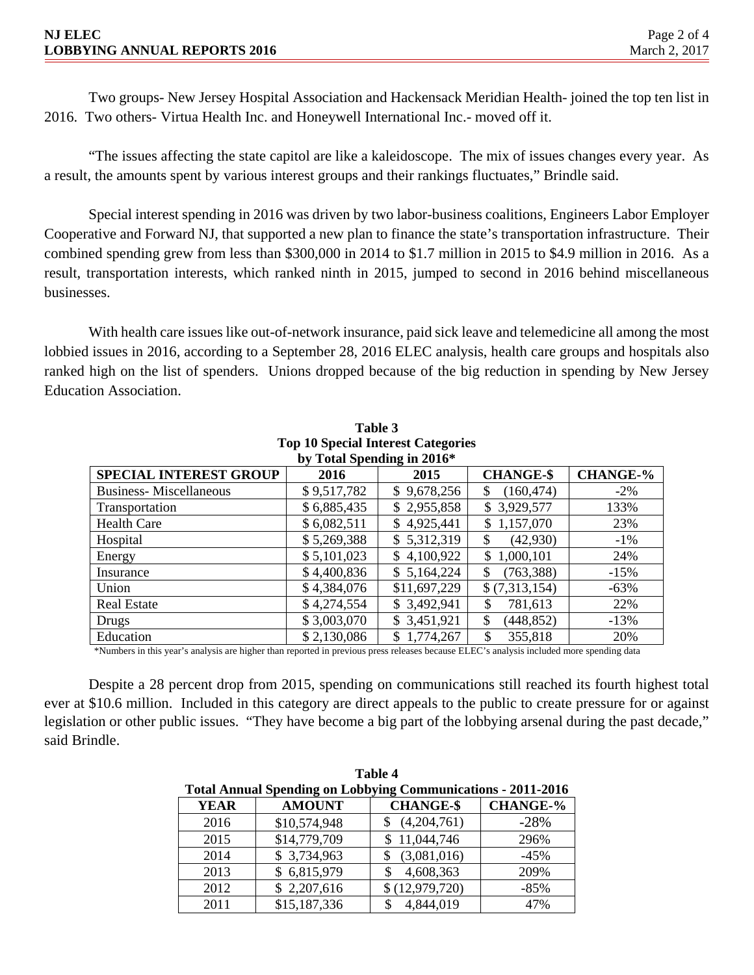Two groups- New Jersey Hospital Association and Hackensack Meridian Health- joined the top ten list in 2016. Two others- Virtua Health Inc. and Honeywell International Inc.- moved off it.

"The issues affecting the state capitol are like a kaleidoscope. The mix of issues changes every year. As a result, the amounts spent by various interest groups and their rankings fluctuates," Brindle said.

Special interest spending in 2016 was driven by two labor-business coalitions, Engineers Labor Employer Cooperative and Forward NJ, that supported a new plan to finance the state's transportation infrastructure. Their combined spending grew from less than \$300,000 in 2014 to \$1.7 million in 2015 to \$4.9 million in 2016. As a result, transportation interests, which ranked ninth in 2015, jumped to second in 2016 behind miscellaneous businesses.

With health care issues like out-of-network insurance, paid sick leave and telemedicine all among the most lobbied issues in 2016, according to a September 28, 2016 ELEC analysis, health care groups and hospitals also ranked high on the list of spenders. Unions dropped because of the big reduction in spending by New Jersey Education Association.

| Top To Special Interest Categories                                                                         |             |              |                  |        |  |  |
|------------------------------------------------------------------------------------------------------------|-------------|--------------|------------------|--------|--|--|
| by Total Spending in 2016*                                                                                 |             |              |                  |        |  |  |
| <b>CHANGE-%</b><br><b>CHANGE-\$</b><br><b>SPECIAL INTEREST GROUP</b><br>2016<br>2015                       |             |              |                  |        |  |  |
| <b>Business-Miscellaneous</b>                                                                              | \$9,517,782 | \$9,678,256  | (160, 474)<br>\$ | $-2\%$ |  |  |
| Transportation                                                                                             | \$6,885,435 | \$2,955,858  | \$3,929,577      | 133%   |  |  |
| <b>Health Care</b>                                                                                         | \$6,082,511 | \$4,925,441  | \$1,157,070      | 23%    |  |  |
| Hospital                                                                                                   | \$5,269,388 | \$5,312,319  | (42,930)<br>\$   | $-1\%$ |  |  |
| Energy                                                                                                     | \$5,101,023 | \$4,100,922  | 1,000,101<br>\$. | 24%    |  |  |
| Insurance                                                                                                  | \$4,400,836 | \$5,164,224  | (763, 388)<br>S  | $-15%$ |  |  |
| Union                                                                                                      | \$4,384,076 | \$11,697,229 | \$(7,313,154)    | $-63%$ |  |  |
| <b>Real Estate</b>                                                                                         | \$4,274,554 | \$3,492,941  | 781,613<br>S     | 22%    |  |  |
| Drugs                                                                                                      | \$3,003,070 | \$3,451,921  | (448, 852)<br>\$ | $-13%$ |  |  |
| Education                                                                                                  | \$2,130,086 | \$1,774,267  | 355,818<br>S.    | 20%    |  |  |
| $\cdots$<br>$\sim$<br>1.1.1.1<br><b>DI DOM</b><br>$\mathbf{1}$ $\mathbf{1}$ $\mathbf{1}$ $\mathbf{1}$<br>. |             |              |                  |        |  |  |

**Table 3 Top 10 Special Interest Categories** 

\*Numbers in this year's analysis are higher than reported in previous press releases because ELEC's analysis included more spending data

Despite a 28 percent drop from 2015, spending on communications still reached its fourth highest total ever at \$10.6 million. Included in this category are direct appeals to the public to create pressure for or against legislation or other public issues. "They have become a big part of the lobbying arsenal during the past decade," said Brindle.

| Table 4                                                             |               |                  |                 |  |
|---------------------------------------------------------------------|---------------|------------------|-----------------|--|
| <b>Total Annual Spending on Lobbying Communications - 2011-2016</b> |               |                  |                 |  |
| <b>YEAR</b>                                                         | <b>AMOUNT</b> | <b>CHANGE-\$</b> | <b>CHANGE-%</b> |  |
| 2016                                                                | \$10,574,948  | (4,204,761)      | $-28%$          |  |
| 2015                                                                | \$14,779,709  | \$11,044,746     | 296%            |  |
| 2014                                                                | \$3,734,963   | (3,081,016)      | $-45%$          |  |
| 2013                                                                | 6,815,979     | 4,608,363        | 209%            |  |
| 2012                                                                | \$2,207,616   | \$(12,979,720)   | $-85%$          |  |
| 2011                                                                | \$15,187,336  | 4,844,019        | 47%             |  |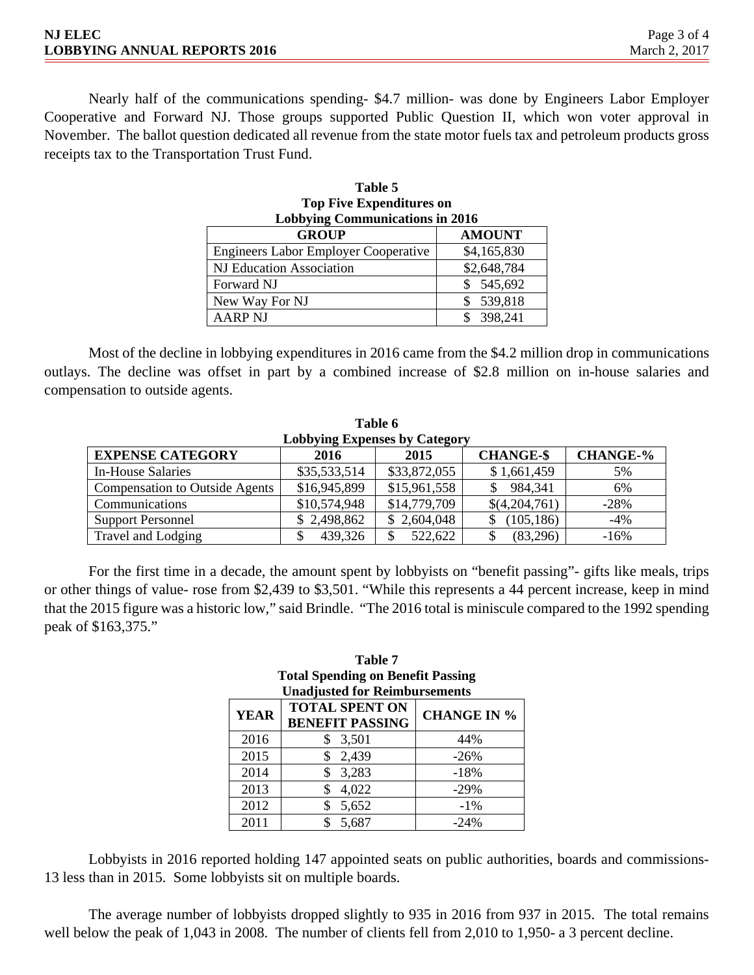| <b>NJ ELEC</b>                      | Page 3 of 4   |
|-------------------------------------|---------------|
| <b>LOBBYING ANNUAL REPORTS 2016</b> | March 2, 2017 |

Nearly half of the communications spending- \$4.7 million- was done by Engineers Labor Employer Cooperative and Forward NJ. Those groups supported Public Question II, which won voter approval in November. The ballot question dedicated all revenue from the state motor fuels tax and petroleum products gross receipts tax to the Transportation Trust Fund.

**Table 5** 

| 1 avr. 2                                    |               |  |  |  |
|---------------------------------------------|---------------|--|--|--|
| <b>Top Five Expenditures on</b>             |               |  |  |  |
| <b>Lobbying Communications in 2016</b>      |               |  |  |  |
| <b>GROUP</b>                                | <b>AMOUNT</b> |  |  |  |
| <b>Engineers Labor Employer Cooperative</b> | \$4,165,830   |  |  |  |
| <b>NJ Education Association</b>             | \$2,648,784   |  |  |  |
| Forward NJ                                  | \$545,692     |  |  |  |
| New Way For NJ                              | 539,818       |  |  |  |
| <b>AARP NJ</b>                              | 398,241       |  |  |  |

Most of the decline in lobbying expenditures in 2016 came from the \$4.2 million drop in communications outlays. The decline was offset in part by a combined increase of \$2.8 million on in-house salaries and compensation to outside agents.

**Table 6** 

| Table 6                                                                        |              |              |                |        |  |
|--------------------------------------------------------------------------------|--------------|--------------|----------------|--------|--|
| <b>Lobbying Expenses by Category</b>                                           |              |              |                |        |  |
| <b>CHANGE-%</b><br><b>EXPENSE CATEGORY</b><br><b>CHANGE-\$</b><br>2016<br>2015 |              |              |                |        |  |
| <b>In-House Salaries</b>                                                       | \$35,533,514 | \$33,872,055 | \$1,661,459    | 5%     |  |
| <b>Compensation to Outside Agents</b>                                          | \$16,945,899 | \$15,961,558 | 984,341<br>\$. | 6%     |  |
| Communications                                                                 | \$10,574,948 | \$14,779,709 | \$(4,204,761)  | $-28%$ |  |
| <b>Support Personnel</b>                                                       | \$2,498,862  | \$2,604,048  | (105, 186)     | $-4%$  |  |
| Travel and Lodging                                                             | 439,326      | 522,622      | (83,296)       | $-16%$ |  |

For the first time in a decade, the amount spent by lobbyists on "benefit passing"- gifts like meals, trips or other things of value- rose from \$2,439 to \$3,501. "While this represents a 44 percent increase, keep in mind that the 2015 figure was a historic low," said Brindle. "The 2016 total is miniscule compared to the 1992 spending peak of \$163,375."

| Table 7                                  |  |  |
|------------------------------------------|--|--|
| <b>Total Spending on Benefit Passing</b> |  |  |
| <b>Unadjusted for Reimbursements</b>     |  |  |

| <b>YEAR</b> | <b>TOTAL SPENT ON</b><br><b>BENEFIT PASSING</b> | <b>CHANGE IN %</b> |
|-------------|-------------------------------------------------|--------------------|
| 2016        | 3,501                                           | 44%                |
| 2015        | 2,439                                           | $-26%$             |
| 2014        | 3,283                                           | $-18%$             |
| 2013        | 4,022                                           | $-29%$             |
| 2012        | 5,652                                           | $-1\%$             |
| 2011        | 5,687                                           | $-24%$             |

Lobbyists in 2016 reported holding 147 appointed seats on public authorities, boards and commissions-13 less than in 2015. Some lobbyists sit on multiple boards.

The average number of lobbyists dropped slightly to 935 in 2016 from 937 in 2015. The total remains well below the peak of 1,043 in 2008. The number of clients fell from 2,010 to 1,950- a 3 percent decline.